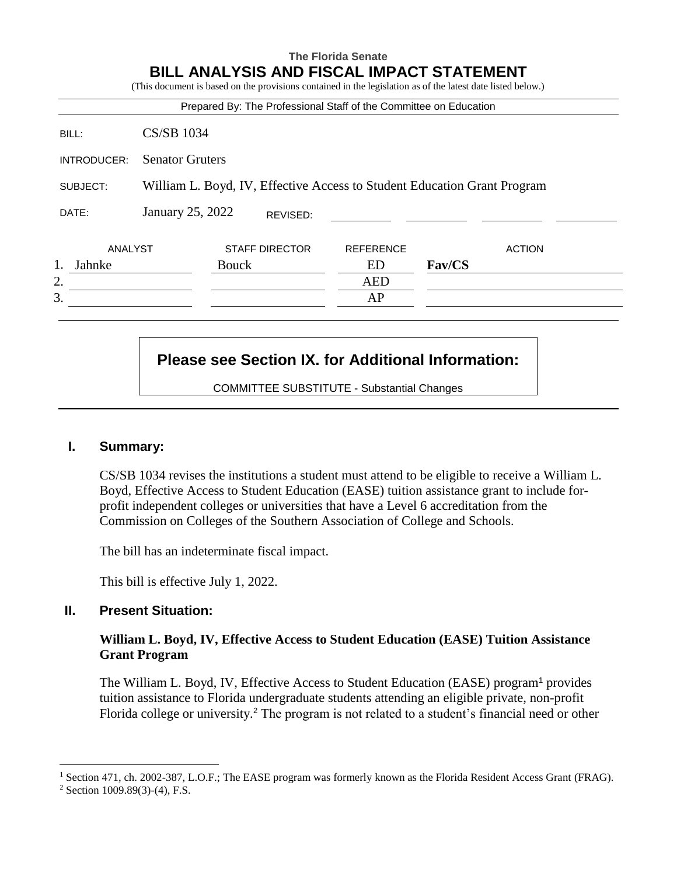# **The Florida Senate BILL ANALYSIS AND FISCAL IMPACT STATEMENT**

|             |                                                                          | (This document is based on the provisions contained in the legislation as of the latest date listed below.) |                  |               |  |  |
|-------------|--------------------------------------------------------------------------|-------------------------------------------------------------------------------------------------------------|------------------|---------------|--|--|
|             |                                                                          | Prepared By: The Professional Staff of the Committee on Education                                           |                  |               |  |  |
| BILL:       | <b>CS/SB 1034</b>                                                        |                                                                                                             |                  |               |  |  |
| INTRODUCER: | <b>Senator Gruters</b>                                                   |                                                                                                             |                  |               |  |  |
| SUBJECT:    | William L. Boyd, IV, Effective Access to Student Education Grant Program |                                                                                                             |                  |               |  |  |
| DATE:       | January 25, 2022                                                         | REVISED:                                                                                                    |                  |               |  |  |
| ANALYST     |                                                                          | <b>STAFF DIRECTOR</b>                                                                                       | <b>REFERENCE</b> | <b>ACTION</b> |  |  |
| Jahnke      |                                                                          | <b>Bouck</b>                                                                                                | ED               | Fav/CS        |  |  |
| 2.          |                                                                          |                                                                                                             | <b>AED</b>       |               |  |  |
|             |                                                                          |                                                                                                             | AP               |               |  |  |

# **Please see Section IX. for Additional Information:**

COMMITTEE SUBSTITUTE - Substantial Changes

## **I. Summary:**

CS/SB 1034 revises the institutions a student must attend to be eligible to receive a William L. Boyd, Effective Access to Student Education (EASE) tuition assistance grant to include forprofit independent colleges or universities that have a Level 6 accreditation from the Commission on Colleges of the Southern Association of College and Schools.

The bill has an indeterminate fiscal impact.

This bill is effective July 1, 2022.

## **II. Present Situation:**

### **William L. Boyd, IV, Effective Access to Student Education (EASE) Tuition Assistance Grant Program**

The William L. Boyd, IV, Effective Access to Student Education (EASE) program<sup>1</sup> provides tuition assistance to Florida undergraduate students attending an eligible private, non-profit Florida college or university.<sup>2</sup> The program is not related to a student's financial need or other

 $\overline{a}$ 

<sup>1</sup> Section 471, ch. 2002-387, L.O.F.; The EASE program was formerly known as the Florida Resident Access Grant (FRAG).

<sup>2</sup> Section 1009.89(3)-(4), F.S.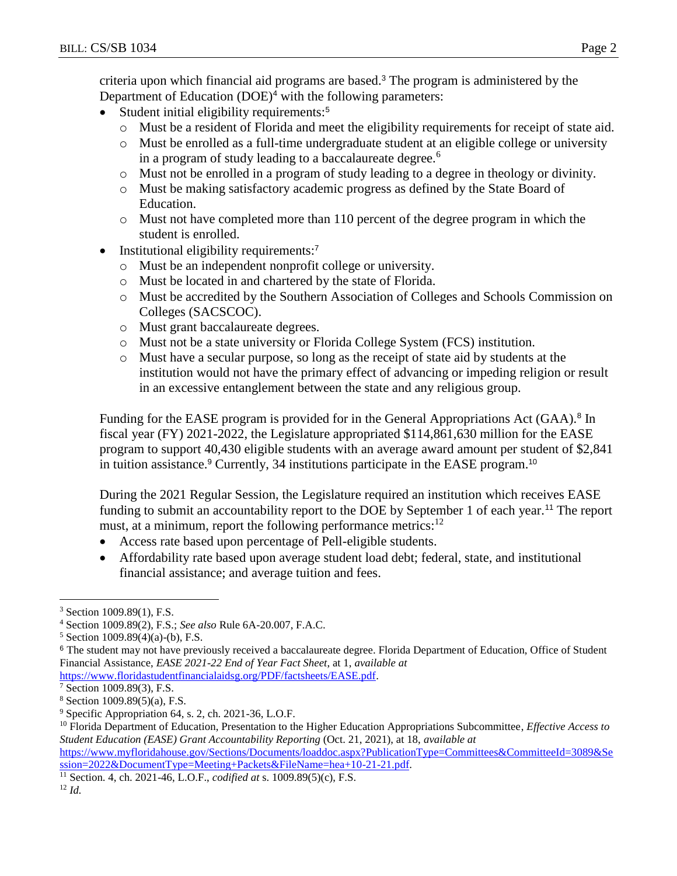criteria upon which financial aid programs are based.<sup>3</sup> The program is administered by the Department of Education (DOE)<sup>4</sup> with the following parameters:

- Student initial eligibility requirements:<sup>5</sup>
	- o Must be a resident of Florida and meet the eligibility requirements for receipt of state aid.
	- o Must be enrolled as a full-time undergraduate student at an eligible college or university in a program of study leading to a baccalaureate degree.<sup>6</sup>
	- o Must not be enrolled in a program of study leading to a degree in theology or divinity.
	- o Must be making satisfactory academic progress as defined by the State Board of Education.
	- o Must not have completed more than 110 percent of the degree program in which the student is enrolled.
- Institutional eligibility requirements:<sup>7</sup>
	- o Must be an independent nonprofit college or university.
	- o Must be located in and chartered by the state of Florida.
	- o Must be accredited by the Southern Association of Colleges and Schools Commission on Colleges (SACSCOC).
	- o Must grant baccalaureate degrees.
	- o Must not be a state university or Florida College System (FCS) institution.
	- o Must have a secular purpose, so long as the receipt of state aid by students at the institution would not have the primary effect of advancing or impeding religion or result in an excessive entanglement between the state and any religious group.

Funding for the EASE program is provided for in the General Appropriations Act (GAA).<sup>8</sup> In fiscal year (FY) 2021-2022, the Legislature appropriated \$114,861,630 million for the EASE program to support 40,430 eligible students with an average award amount per student of \$2,841 in tuition assistance.<sup>9</sup> Currently, 34 institutions participate in the EASE program.<sup>10</sup>

During the 2021 Regular Session, the Legislature required an institution which receives EASE funding to submit an accountability report to the DOE by September 1 of each year.<sup>11</sup> The report must, at a minimum, report the following performance metrics:  $12$ 

- Access rate based upon percentage of Pell-eligible students.
- Affordability rate based upon average student load debt; federal, state, and institutional financial assistance; and average tuition and fees.

 $\overline{a}$ 

<sup>3</sup> Section 1009.89(1), F.S.

<sup>4</sup> Section 1009.89(2), F.S.; *See also* Rule 6A-20.007, F.A.C.

<sup>5</sup> Section 1009.89(4)(a)-(b), F.S.

<sup>&</sup>lt;sup>6</sup> The student may not have previously received a baccalaureate degree. Florida Department of Education, Office of Student Financial Assistance, *EASE 2021-22 End of Year Fact Sheet*, at 1, *available at* 

[https://www.floridastudentfinancialaidsg.org/PDF/factsheets/EASE.pdf.](https://www.floridastudentfinancialaidsg.org/PDF/factsheets/EASE.pdf)

<sup>7</sup> Section 1009.89(3), F.S.

<sup>8</sup> Section 1009.89(5)(a), F.S.

<sup>9</sup> Specific Appropriation 64, s. 2, ch. 2021-36, L.O.F.

<sup>10</sup> Florida Department of Education, Presentation to the Higher Education Appropriations Subcommittee, *Effective Access to Student Education (EASE) Grant Accountability Reporting* (Oct. 21, 2021), at 18, *available at*

[https://www.myfloridahouse.gov/Sections/Documents/loaddoc.aspx?PublicationType=Committees&CommitteeId=3089&Se](https://www.myfloridahouse.gov/Sections/Documents/loaddoc.aspx?PublicationType=Committees&CommitteeId=3089&Session=2022&DocumentType=Meeting+Packets&FileName=hea+10-21-21.pdf) [ssion=2022&DocumentType=Meeting+Packets&FileName=hea+10-21-21.pdf.](https://www.myfloridahouse.gov/Sections/Documents/loaddoc.aspx?PublicationType=Committees&CommitteeId=3089&Session=2022&DocumentType=Meeting+Packets&FileName=hea+10-21-21.pdf)

<sup>11</sup> Section. 4, ch. 2021-46, L.O.F., *codified at* s. 1009.89(5)(c), F.S.

<sup>12</sup> *Id.*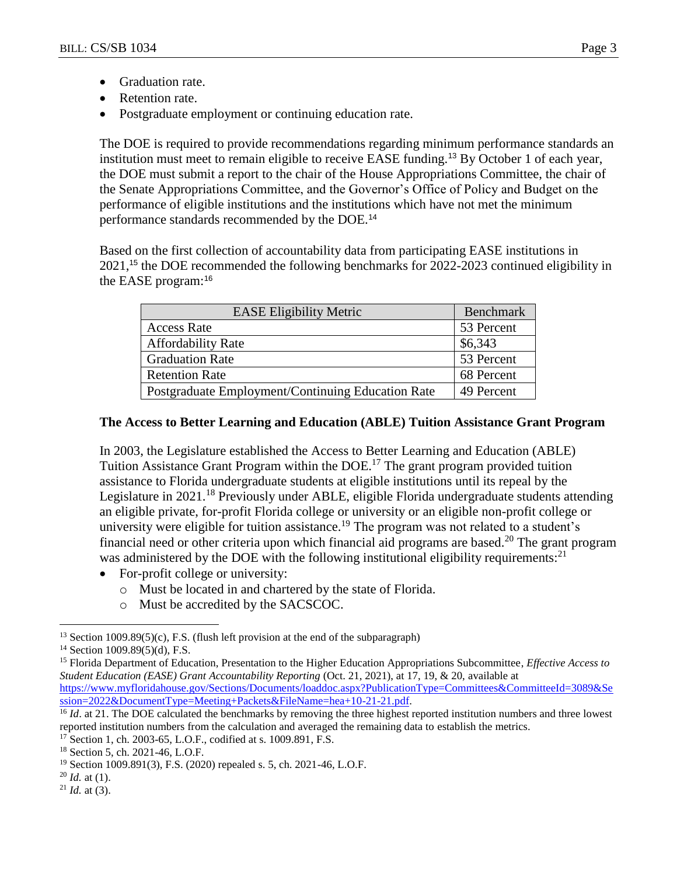- Graduation rate.
- Retention rate.
- Postgraduate employment or continuing education rate.

The DOE is required to provide recommendations regarding minimum performance standards an institution must meet to remain eligible to receive EASE funding.<sup>13</sup> By October 1 of each year, the DOE must submit a report to the chair of the House Appropriations Committee, the chair of the Senate Appropriations Committee, and the Governor's Office of Policy and Budget on the performance of eligible institutions and the institutions which have not met the minimum performance standards recommended by the DOE.<sup>14</sup>

Based on the first collection of accountability data from participating EASE institutions in 2021,<sup>15</sup> the DOE recommended the following benchmarks for 2022-2023 continued eligibility in the EASE program:<sup>16</sup>

| <b>EASE Eligibility Metric</b>                    | Benchmark  |  |
|---------------------------------------------------|------------|--|
| <b>Access Rate</b>                                | 53 Percent |  |
| <b>Affordability Rate</b>                         | \$6,343    |  |
| <b>Graduation Rate</b>                            | 53 Percent |  |
| <b>Retention Rate</b>                             | 68 Percent |  |
| Postgraduate Employment/Continuing Education Rate | 49 Percent |  |

### **The Access to Better Learning and Education (ABLE) Tuition Assistance Grant Program**

In 2003, the Legislature established the Access to Better Learning and Education (ABLE) Tuition Assistance Grant Program within the DOE.<sup>17</sup> The grant program provided tuition assistance to Florida undergraduate students at eligible institutions until its repeal by the Legislature in 2021.<sup>18</sup> Previously under ABLE, eligible Florida undergraduate students attending an eligible private, for-profit Florida college or university or an eligible non-profit college or university were eligible for tuition assistance.<sup>19</sup> The program was not related to a student's financial need or other criteria upon which financial aid programs are based.<sup>20</sup> The grant program was administered by the DOE with the following institutional eligibility requirements:<sup>21</sup>

- For-profit college or university:
	- o Must be located in and chartered by the state of Florida.
	- o Must be accredited by the SACSCOC.

 $\overline{a}$ 

 $21$  *Id.* at (3).

<sup>&</sup>lt;sup>13</sup> Section 1009.89(5)(c), F.S. (flush left provision at the end of the subparagraph)

 $14$  Section 1009.89(5)(d), F.S.

<sup>15</sup> Florida Department of Education, Presentation to the Higher Education Appropriations Subcommittee, *Effective Access to Student Education (EASE) Grant Accountability Reporting* (Oct. 21, 2021), at 17, 19, & 20, available at [https://www.myfloridahouse.gov/Sections/Documents/loaddoc.aspx?PublicationType=Committees&CommitteeId=3089&Se](https://www.myfloridahouse.gov/Sections/Documents/loaddoc.aspx?PublicationType=Committees&CommitteeId=3089&Session=2022&DocumentType=Meeting+Packets&FileName=hea+10-21-21.pdf) [ssion=2022&DocumentType=Meeting+Packets&FileName=hea+10-21-21.pdf.](https://www.myfloridahouse.gov/Sections/Documents/loaddoc.aspx?PublicationType=Committees&CommitteeId=3089&Session=2022&DocumentType=Meeting+Packets&FileName=hea+10-21-21.pdf)

<sup>&</sup>lt;sup>16</sup> *Id.* at 21. The DOE calculated the benchmarks by removing the three highest reported institution numbers and three lowest reported institution numbers from the calculation and averaged the remaining data to establish the metrics.

<sup>17</sup> Section 1, ch. 2003-65, L.O.F., codified at s. 1009.891, F.S.

<sup>18</sup> Section 5, ch. 2021-46, L.O.F.

<sup>19</sup> Section 1009.891(3), F.S. (2020) repealed s. 5, ch. 2021-46, L.O.F.

<sup>20</sup> *Id.* at (1).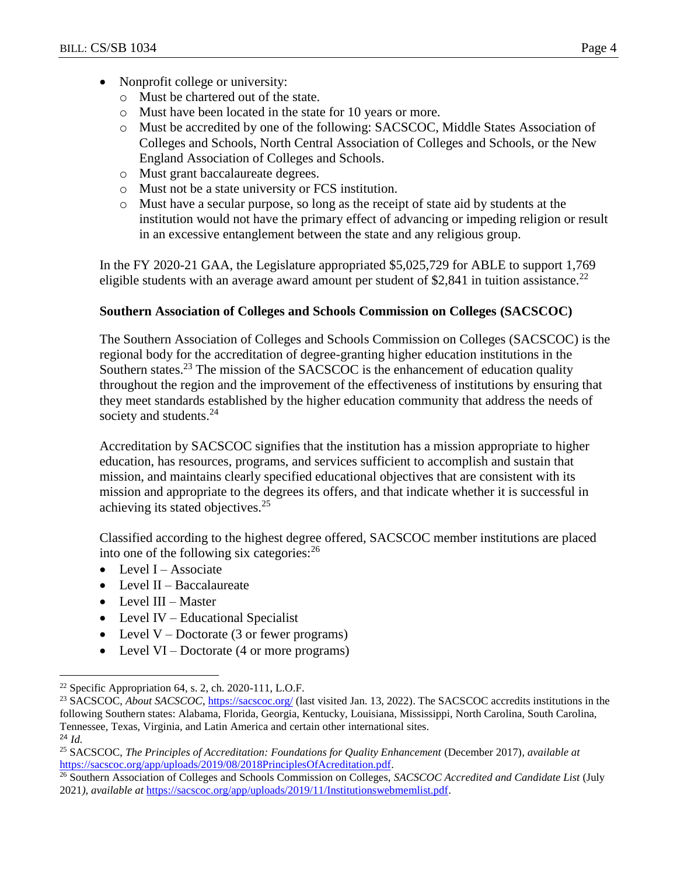- Nonprofit college or university:
	- o Must be chartered out of the state.
	- o Must have been located in the state for 10 years or more.
	- o Must be accredited by one of the following: SACSCOC, Middle States Association of Colleges and Schools, North Central Association of Colleges and Schools, or the New England Association of Colleges and Schools.
	- o Must grant baccalaureate degrees.
	- o Must not be a state university or FCS institution.
	- o Must have a secular purpose, so long as the receipt of state aid by students at the institution would not have the primary effect of advancing or impeding religion or result in an excessive entanglement between the state and any religious group.

In the FY 2020-21 GAA, the Legislature appropriated \$5,025,729 for ABLE to support 1,769 eligible students with an average award amount per student of \$2,841 in tuition assistance.<sup>22</sup>

# **Southern Association of Colleges and Schools Commission on Colleges (SACSCOC)**

The Southern Association of Colleges and Schools Commission on Colleges (SACSCOC) is the regional body for the accreditation of degree-granting higher education institutions in the Southern states.<sup>23</sup> The mission of the SACSCOC is the enhancement of education quality throughout the region and the improvement of the effectiveness of institutions by ensuring that they meet standards established by the higher education community that address the needs of society and students.<sup>24</sup>

Accreditation by SACSCOC signifies that the institution has a mission appropriate to higher education, has resources, programs, and services sufficient to accomplish and sustain that mission, and maintains clearly specified educational objectives that are consistent with its mission and appropriate to the degrees its offers, and that indicate whether it is successful in achieving its stated objectives.<sup>25</sup>

Classified according to the highest degree offered, SACSCOC member institutions are placed into one of the following six categories: $^{26}$ 

- $\bullet$  Level I Associate
- $\bullet$  Level II Baccalaureate
- Level III Master

 $\overline{a}$ 

- Level IV Educational Specialist
- Level  $V$  Doctorate (3 or fewer programs)
- Level VI Doctorate (4 or more programs)

 $22$  Specific Appropriation 64, s. 2, ch. 2020-111, L.O.F.

<sup>&</sup>lt;sup>23</sup> SACSCOC, *About SACSCOC*,<https://sacscoc.org/> (last visited Jan. 13, 2022). The SACSCOC accredits institutions in the following Southern states: Alabama, Florida, Georgia, Kentucky, Louisiana, Mississippi, North Carolina, South Carolina, Tennessee, Texas, Virginia, and Latin America and certain other international sites. <sup>24</sup> *Id.*

<sup>25</sup> SACSCOC, *The Principles of Accreditation: Foundations for Quality Enhancement* (December 2017)*, available at* [https://sacscoc.org/app/uploads/2019/08/2018PrinciplesOfAcreditation.pdf.](https://sacscoc.org/app/uploads/2019/08/2018PrinciplesOfAcreditation.pdf)

<sup>26</sup> Southern Association of Colleges and Schools Commission on Colleges, *SACSCOC Accredited and Candidate List* (July 2021*), available at* [https://sacscoc.org/app/uploads/2019/11/Institutionswebmemlist.pdf.](https://sacscoc.org/app/uploads/2019/11/Institutionswebmemlist.pdf)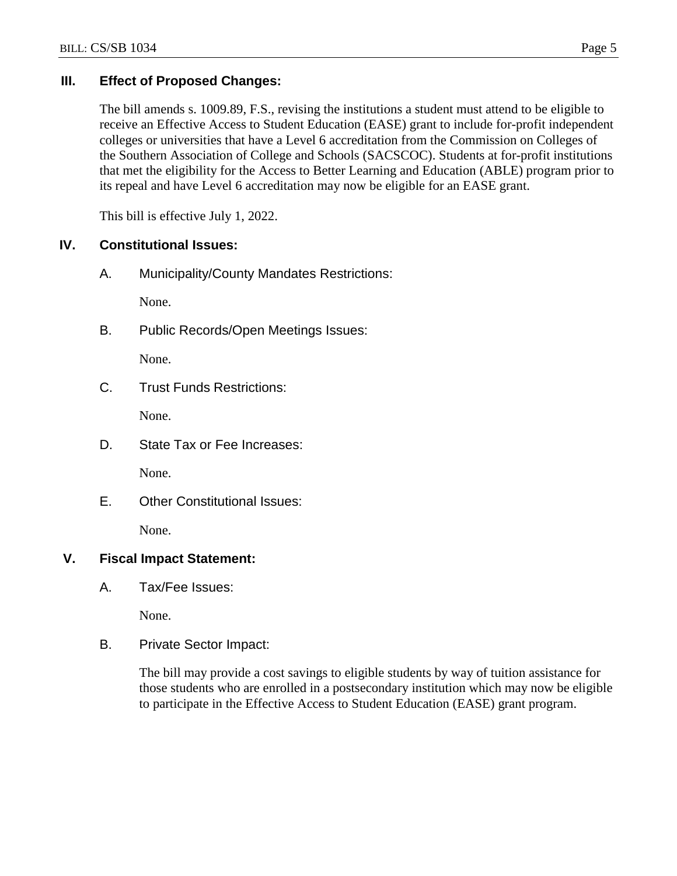# **III. Effect of Proposed Changes:**

The bill amends s. 1009.89, F.S., revising the institutions a student must attend to be eligible to receive an Effective Access to Student Education (EASE) grant to include for-profit independent colleges or universities that have a Level 6 accreditation from the Commission on Colleges of the Southern Association of College and Schools (SACSCOC). Students at for-profit institutions that met the eligibility for the Access to Better Learning and Education (ABLE) program prior to its repeal and have Level 6 accreditation may now be eligible for an EASE grant.

This bill is effective July 1, 2022.

# **IV. Constitutional Issues:**

A. Municipality/County Mandates Restrictions:

None.

B. Public Records/Open Meetings Issues:

None.

C. Trust Funds Restrictions:

None.

D. State Tax or Fee Increases:

None.

E. Other Constitutional Issues:

None.

# **V. Fiscal Impact Statement:**

A. Tax/Fee Issues:

None.

B. Private Sector Impact:

The bill may provide a cost savings to eligible students by way of tuition assistance for those students who are enrolled in a postsecondary institution which may now be eligible to participate in the Effective Access to Student Education (EASE) grant program.